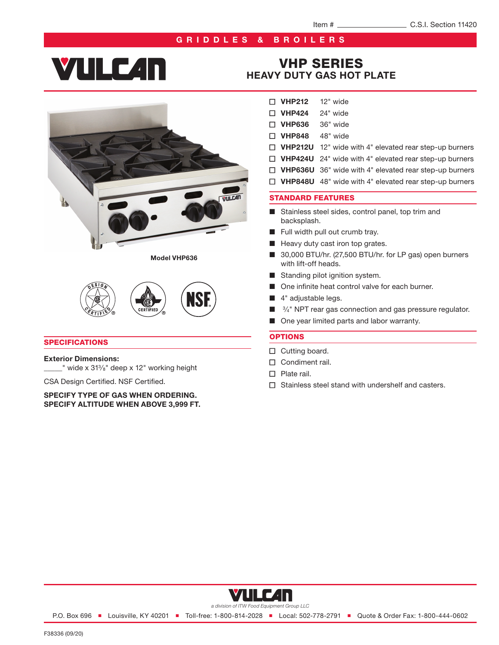#### GRIDDLES & BROILERS

# **YULC4N**



Model VHP636



#### **SPECIFICATIONS**

#### Exterior Dimensions:

\_\_\_\_\_" wide x 313⁄8" deep x 12" working height

CSA Design Certified. NSF Certified.

SPECIFY TYPE OF GAS WHEN ORDERING. SPECIFY ALTITUDE WHEN ABOVE 3,999 FT.

### VHP SERIES [HEAVY DUTY GAS HOT PLATE](https://www.vulcanequipment.com/ranges)

- $\nabla$  VHP212 12" wide
- $\Box$  VHP424 24" wide
- D VHP636 36" wide
- □ VHP848 48" wide
- $\Box$  VHP212U 12" wide with 4" elevated rear step-up burners
- $\Box$  VHP424U 24" wide with 4" elevated rear step-up burners
- □ VHP636U 36" wide with 4" elevated rear step-up burners
- $\Box$  VHP848U 48" wide with 4" elevated rear step-up burners

#### STANDARD FEATURES

- Stainless steel sides, control panel, top trim and backsplash.
- Full width pull out crumb tray.
- Heavy duty cast iron top grates.
- 30,000 BTU/hr. (27,500 BTU/hr. for LP gas) open burners with lift-off heads.
- Standing pilot ignition system.
- One infinite heat control valve for each burner.
- 4" adjustable legs.
- <sup>3</sup>/<sub>4</sub>" NPT rear gas connection and gas pressure regulator.
- One year limited parts and labor warranty.

#### **OPTIONS**

- $\Box$  Cutting board.
- $\Box$  Condiment rail.
- $\Box$  Plate rail.
- $\Box$  Stainless steel stand with undershelf and casters.



P.O. Box 696 ■ Louisville, KY 40201 ■ Toll-free: 1-800-814-2028 ■ Local: 502-778-2791 ■ Quote & Order Fax: 1-800-444-0602